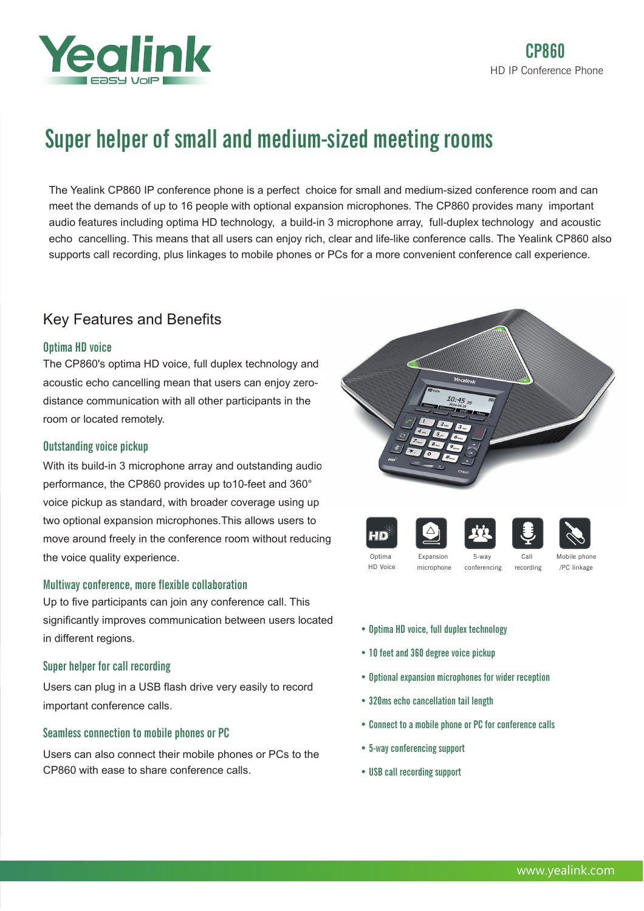

# Super helper of small and medium-sized meeting rooms

The Yealink CP860 IP conference phone is a perfect choice for small and medium-sized conference room and can meet the demands of up to 16 people with optional expansion microphones. The CP860 provides many important audio features including optima HD technology, a build-in 3 microphone array, full-duplex technology and acoustic echo cancelling. This means that all users can enjoy rich, clear and life-like conference calls. The Yealink CP860 also supports call recording, plus linkages to mobile phones or PCs for a more convenient conference call experience.

# Key Features and Benefits

# Optima HD voice

The CP860's optima HD voice, full duplex technology and acoustic echo cancelling mean that users can enjoy zerodistance communication with all other participants in the room or located remotely.

# Outstanding voice pickup

With its build-in 3 microphone array and outstanding audio performance, the CP860 provides up to10-feet and 360° voice pickup as standard, with broader coverage using up two optional expansion microphones.This allows users to move around freely in the conference room without reducing the voice quality experience.

## Multiway conference, more flexible collaboration

Up to five participants can join any conference call. This significantly improves communication between users located in different regions.

# Super helper for call recording

Users can plug in a USB flash drive very easily to record important conference calls.

# Seamless connection to mobile phones or PC

Users can also connect their mobile phones or PCs to the CP860 with ease to share conference calls.









Optima HD Voice

microphone

conferencing Call recording Mobile phone /PC linkage

- Optima HD voice, full duplex technology
- 10 feet and 360 degree voice pickup
- Optional expansion microphones for wider reception
- 320ms echo cancellation tail length
- Connect to a mobile phone or PC for conference calls
- 5-way conferencing support
- USB call recording support